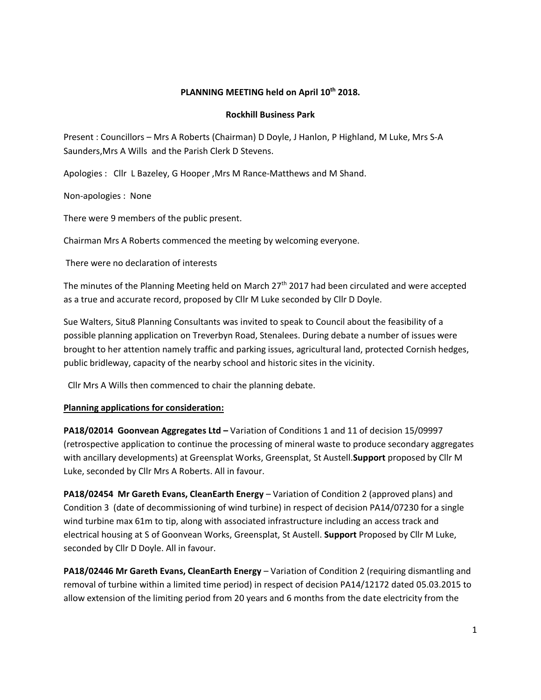# **PLANNING MEETING held on April 10 th 2018.**

#### **Rockhill Business Park**

Present : Councillors – Mrs A Roberts (Chairman) D Doyle, J Hanlon, P Highland, M Luke, Mrs S-A Saunders,Mrs A Wills and the Parish Clerk D Stevens.

Apologies : Cllr L Bazeley, G Hooper ,Mrs M Rance-Matthews and M Shand.

Non-apologies : None

There were 9 members of the public present.

Chairman Mrs A Roberts commenced the meeting by welcoming everyone.

There were no declaration of interests

The minutes of the Planning Meeting held on March 27<sup>th</sup> 2017 had been circulated and were accepted as a true and accurate record, proposed by Cllr M Luke seconded by Cllr D Doyle.

Sue Walters, Situ8 Planning Consultants was invited to speak to Council about the feasibility of a possible planning application on Treverbyn Road, Stenalees. During debate a number of issues were brought to her attention namely traffic and parking issues, agricultural land, protected Cornish hedges, public bridleway, capacity of the nearby school and historic sites in the vicinity.

Cllr Mrs A Wills then commenced to chair the planning debate.

# **Planning applications for consideration:**

**PA18/02014 Goonvean Aggregates Ltd –** Variation of Conditions 1 and 11 of decision 15/09997 (retrospective application to continue the processing of mineral waste to produce secondary aggregates with ancillary developments) at Greensplat Works, Greensplat, St Austell.**Support** proposed by Cllr M Luke, seconded by Cllr Mrs A Roberts. All in favour.

**PA18/02454 Mr Gareth Evans, CleanEarth Energy** – Variation of Condition 2 (approved plans) and Condition 3 (date of decommissioning of wind turbine) in respect of decision PA14/07230 for a single wind turbine max 61m to tip, along with associated infrastructure including an access track and electrical housing at S of Goonvean Works, Greensplat, St Austell. **Support** Proposed by Cllr M Luke, seconded by Cllr D Doyle. All in favour.

**PA18/02446 Mr Gareth Evans, CleanEarth Energy** – Variation of Condition 2 (requiring dismantling and removal of turbine within a limited time period) in respect of decision PA14/12172 dated 05.03.2015 to allow extension of the limiting period from 20 years and 6 months from the date electricity from the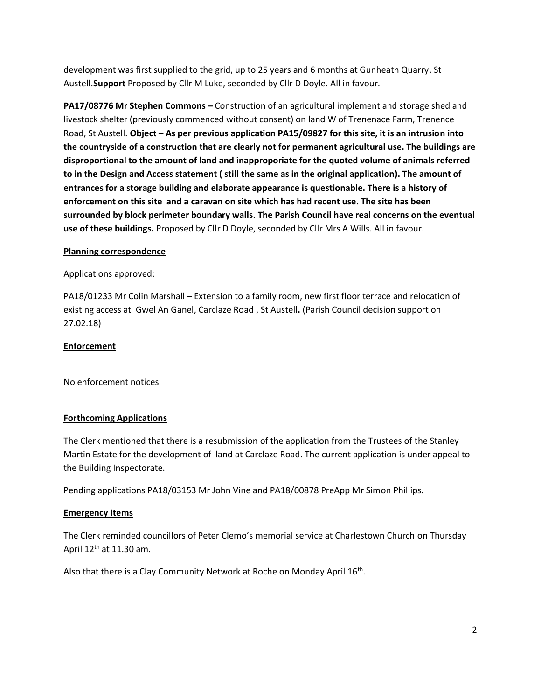development was first supplied to the grid, up to 25 years and 6 months at Gunheath Quarry, St Austell.**Support** Proposed by Cllr M Luke, seconded by Cllr D Doyle. All in favour.

**PA17/08776 Mr Stephen Commons –** Construction of an agricultural implement and storage shed and livestock shelter (previously commenced without consent) on land W of Trenenace Farm, Trenence Road, St Austell. **Object – As per previous application PA15/09827 for this site, it is an intrusion into the countryside of a construction that are clearly not for permanent agricultural use. The buildings are disproportional to the amount of land and inapproporiate for the quoted volume of animals referred to in the Design and Access statement ( still the same as in the original application). The amount of entrances for a storage building and elaborate appearance is questionable. There is a history of enforcement on this site and a caravan on site which has had recent use. The site has been surrounded by block perimeter boundary walls. The Parish Council have real concerns on the eventual use of these buildings.** Proposed by Cllr D Doyle, seconded by Cllr Mrs A Wills. All in favour.

# **Planning correspondence**

# Applications approved:

PA18/01233 Mr Colin Marshall – Extension to a family room, new first floor terrace and relocation of existing access at Gwel An Ganel, Carclaze Road , St Austell**.** (Parish Council decision support on 27.02.18)

#### **Enforcement**

No enforcement notices

# **Forthcoming Applications**

The Clerk mentioned that there is a resubmission of the application from the Trustees of the Stanley Martin Estate for the development of land at Carclaze Road. The current application is under appeal to the Building Inspectorate.

Pending applications PA18/03153 Mr John Vine and PA18/00878 PreApp Mr Simon Phillips.

#### **Emergency Items**

The Clerk reminded councillors of Peter Clemo's memorial service at Charlestown Church on Thursday April  $12<sup>th</sup>$  at 11.30 am.

Also that there is a Clay Community Network at Roche on Monday April 16<sup>th</sup>.